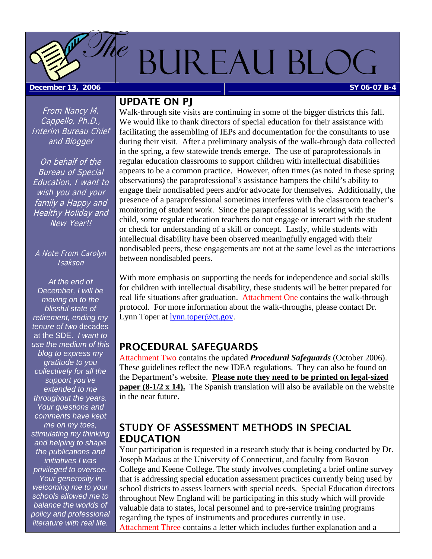# <span id="page-0-0"></span>BUREAU BLOC **December 13, 2006 Sy 06-07 B-4**  $\eta_{\mathscr{C}}$

From Nancy M. Cappello, Ph.D., Interim Bureau Chief and Blogger

On behalf of the Bureau of Special Education, I want to wish you and your family a Happy and **Healthy Holiday and** New Year!!

#### A Note From Carolyn Isakson

*At the end of December, I will be moving on to the blissful state of retirement, ending my tenure of two* decades at the SDE. *I want to use the medium of this blog to express my gratitude to you collectively for all the support you've extended to me throughout the years. Your questions and comments have kept me on my toes, stimulating my thinking and helping to shape the publications and initiatives I was privileged to oversee. Your generosity in welcoming me to your schools allowed me to balance the worlds of policy and professional literature with real life.* 

# UPDATE ON PJ

Walk-through site visits are continuing in some of the bigger districts this fall. We would like to thank directors of special education for their assistance with facilitating the assembling of IEPs and documentation for the consultants to use during their visit. After a preliminary analysis of the walk-through data collected in the spring, a few statewide trends emerge. The use of paraprofessionals in regular education classrooms to support children with intellectual disabilities appears to be a common practice. However, often times (as noted in these spring observations) the paraprofessional's assistance hampers the child's ability to engage their nondisabled peers and/or advocate for themselves. Additionally, the presence of a paraprofessional sometimes interferes with the classroom teacher's monitoring of student work. Since the paraprofessional is working with the child, some regular education teachers do not engage or interact with the student or check for understanding of a skill or concept. Lastly, while students with intellectual disability have been observed meaningfully engaged with their nondisabled peers, these engagements are not at the same level as the interactions between nondisabled peers.

With more emphasis on supporting the needs for independence and social skills for children with intellectual disability, these students will be better prepared for real life situations after graduation. [Attachment One](#page-3-0) contains the walk-through protocol. For more information about the walk-throughs, please contact Dr. Lynn Toper at [lynn.toper@ct.gov.](mailto:lynn.toper@ct.gov)

# PROCEDURAL SAFEGUARDS

[Attachment Two c](#page-6-0)ontains the updated *Procedural Safeguards* (October 2006). These guidelines reflect the new IDEA regulations. They can also be found on the Department's website. **Please note they need to be printed on legal-sized paper (8-1/2 x 14).** The Spanish translation will also be available on the website in the near future.

# STUDY OF ASSESSMENT METHODS IN SPECIAL EDUCATION

Your participation is requested in a research study that is being conducted by Dr. Joseph Madaus at the University of Connecticut, and faculty from Boston College and Keene College. The study involves completing a brief online survey that is addressing special education assessment practices currently being used by school districts to assess learners with special needs. Special Education directors throughout New England will be participating in this study which will provide valuable data to states, local personnel and to pre-service training programs regarding the types of instruments and procedures currently in use. [Attachment Three c](#page-19-0)ontains a letter which includes further explanation and a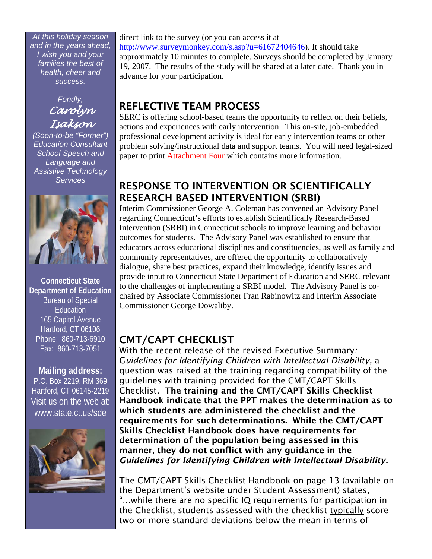<span id="page-1-0"></span>*At this holiday season and in the years ahead, I wish you and your families the best of health, cheer and success.* 



*(Soon-to-be "Former") Education Consultant School Speech and Language and Assistive Technology Services* 



**Connecticut State Department of Education**  Bureau of Special Education 165 Capitol Avenue Hartford, CT 06106 Phone: 860-713-6910 Fax: 860-713-7051

# **Mailing address:**  P.O. Box 2219, RM 369 Hartford, CT 06145-2219 Visit us on the web at: www.state.ct.us/sde



direct link to the survey (or you can access it at <http://www.surveymonkey.com/s.asp?u=61672404646>). It should take approximately 10 minutes to complete. Surveys should be completed by January 19, 2007. The results of the study will be shared at a later date. Thank you in advance for your participation.

# REFLECTIVE TEAM PROCESS

SERC is offering school-based teams the opportunity to reflect on their beliefs, actions and experiences with early intervention. This on-site, job-embedded professional development activity is ideal for early intervention teams or other problem solving/instructional data and support teams. You will need legal-sized paper to print [Attachment Four](#page-20-0) which contains more information.

# RESPONSE TO INTERVENTION OR SCIENTIFICALLY RESEARCH BASED INTERVENTION (SRBI)

Interim Commissioner George A. Coleman has convened an Advisory Panel regarding Connecticut's efforts to establish Scientifically Research-Based Intervention (SRBI) in Connecticut schools to improve learning and behavior outcomes for students. The Advisory Panel was established to ensure that educators across educational disciplines and constituencies, as well as family and community representatives, are offered the opportunity to collaboratively dialogue, share best practices, expand their knowledge, identify issues and provide input to Connecticut State Department of Education and SERC relevant to the challenges of implementing a SRBI model. The Advisory Panel is cochaired by Associate Commissioner Fran Rabinowitz and Interim Associate Commissioner George Dowaliby.

# CMT/CAPT CHECKLIST

With the recent release of the revised Executive Summary*:* G*uidelines for Identifying Children with Intellectual Disability,* a question was raised at the training regarding compatibility of the guidelines with training provided for the CMT/CAPT Skills Checklist. The training and the CMT/CAPT Skills Checklist Handbook indicate that the PPT makes the determination as to which students are administered the checklist and the requirements for such determinations. While the CMT/CAPT Skills Checklist Handbook does have requirements for determination of the population being assessed in this manner, they do not conflict with any guidance in the *Guidelines for Identifying Children with Intellectual Disability.*

The CMT/CAPT Skills Checklist Handbook on page 13 (available on the Department's website under Student Assessment) states, "…while there are no specific IQ requirements for participation in the Checklist, students assessed with the checklist typically score two or more standard deviations below the mean in terms of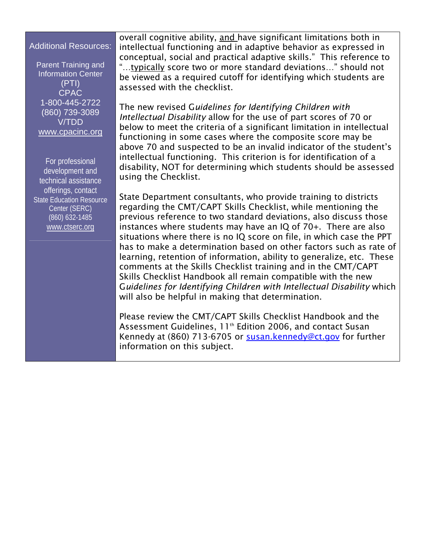## Additional Resources:

Parent Training and Information Center (PTI) CPAC 1-800-445-2722 (860) 739-3089 V/TDD [www.cpacinc.org](http://www.cpacinc.org/)

For professional development and technical assistance offerings, contact State Education Resource Center (SERC) (860) 632-1485 [www.ctserc.org](http://www.ctserc.org/)

overall cognitive ability, and have significant limitations both in intellectual functioning and in adaptive behavior as expressed in conceptual, social and practical adaptive skills." This reference to "…typically score two or more standard deviations…" should not be viewed as a required cutoff for identifying which students are assessed with the checklist.

The new revised G*uidelines for Identifying Children with Intellectual Disability* allow for the use of part scores of 70 or below to meet the criteria of a significant limitation in intellectual functioning in some cases where the composite score may be above 70 and suspected to be an invalid indicator of the student's intellectual functioning. This criterion is for identification of a disability, NOT for determining which students should be assessed using the Checklist.

State Department consultants, who provide training to districts regarding the CMT/CAPT Skills Checklist, while mentioning the previous reference to two standard deviations, also discuss those instances where students may have an IQ of 70+. There are also situations where there is no IQ score on file, in which case the PPT has to make a determination based on other factors such as rate of learning, retention of information, ability to generalize, etc. These comments at the Skills Checklist training and in the CMT/CAPT Skills Checklist Handbook all remain compatible with the new G*uidelines for Identifying Children with Intellectual Disability* which will also be helpful in making that determination.

Please review the CMT/CAPT Skills Checklist Handbook and the Assessment Guidelines, 11<sup>th</sup> Edition 2006, and contact Susan Kennedy at (860) 713-6705 or [susan.kennedy@ct.gov](mailto:susan.kennedy@ct.gov) for further information on this subject.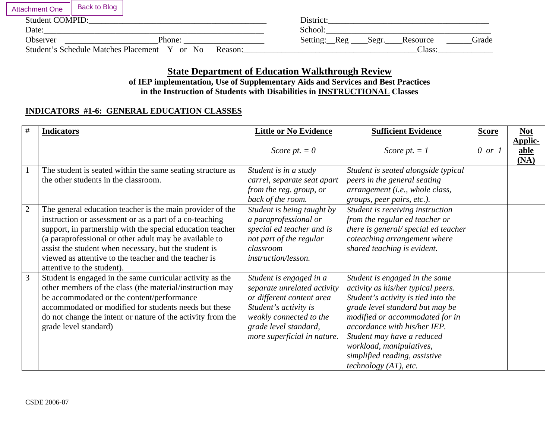<span id="page-3-0"></span>

| <b>Attachment One</b>  | <b>Back to Blog</b>                                    |         |                                                        |
|------------------------|--------------------------------------------------------|---------|--------------------------------------------------------|
| <b>Student COMPID:</b> |                                                        |         | District:                                              |
| Date:                  |                                                        |         | School:                                                |
| Observer               | Phone:                                                 |         | Setting:<br>Grade<br>$\text{Reg}$<br>Resource<br>Segr. |
|                        | <b>Student's Schedule Matches Placement</b><br>Y or No | Reason: | Class:                                                 |

# **State Department of Education Walkthrough Review of IEP implementation, Use of Supplementary Aids and Services and Best Practices**

# **in the Instruction of Students with Disabilities in INSTRUCTIONAL Classes**

# **INDICATORS #1-6: GENERAL EDUCATION CLASSES**

| #              | <b>Indicators</b>                                                                                                                                                                                                                                                                                                                                                                            | <b>Little or No Evidence</b>                                                                                                                                                                    | <b>Sufficient Evidence</b>                                                                                                                                                                                                                                                                                                            | <b>Score</b>      | $Not$                          |
|----------------|----------------------------------------------------------------------------------------------------------------------------------------------------------------------------------------------------------------------------------------------------------------------------------------------------------------------------------------------------------------------------------------------|-------------------------------------------------------------------------------------------------------------------------------------------------------------------------------------------------|---------------------------------------------------------------------------------------------------------------------------------------------------------------------------------------------------------------------------------------------------------------------------------------------------------------------------------------|-------------------|--------------------------------|
|                |                                                                                                                                                                                                                                                                                                                                                                                              | Score pt. $= 0$                                                                                                                                                                                 | Score pt. $= 1$                                                                                                                                                                                                                                                                                                                       | $0 \text{ or } 1$ | <b>Applic-</b><br>able<br>(NA) |
|                | The student is seated within the same seating structure as<br>the other students in the classroom.                                                                                                                                                                                                                                                                                           | Student is in a study<br>carrel, separate seat apart<br>from the reg. group, or<br>back of the room.                                                                                            | Student is seated alongside typical<br>peers in the general seating<br>arrangement (i.e., whole class,<br>groups, peer pairs, etc.).                                                                                                                                                                                                  |                   |                                |
| $\overline{2}$ | The general education teacher is the main provider of the<br>instruction or assessment or as a part of a co-teaching<br>support, in partnership with the special education teacher<br>(a paraprofessional or other adult may be available to<br>assist the student when necessary, but the student is<br>viewed as attentive to the teacher and the teacher is<br>attentive to the student). | Student is being taught by<br>a paraprofessional or<br>special ed teacher and is<br>not part of the regular<br>classroom<br><i>instruction/lesson.</i>                                          | Student is receiving instruction<br>from the regular ed teacher or<br>there is general/special ed teacher<br>coteaching arrangement where<br>shared teaching is evident.                                                                                                                                                              |                   |                                |
| $\overline{3}$ | Student is engaged in the same curricular activity as the<br>other members of the class (the material/instruction may<br>be accommodated or the content/performance<br>accommodated or modified for students needs but these<br>do not change the intent or nature of the activity from the<br>grade level standard)                                                                         | Student is engaged in a<br>separate unrelated activity<br>or different content area<br>Student's activity is<br>weakly connected to the<br>grade level standard,<br>more superficial in nature. | Student is engaged in the same<br>activity as his/her typical peers.<br>Student's activity is tied into the<br>grade level standard but may be<br>modified or accommodated for in<br>accordance with his/her IEP.<br>Student may have a reduced<br>workload, manipulatives,<br>simplified reading, assistive<br>technology (AT), etc. |                   |                                |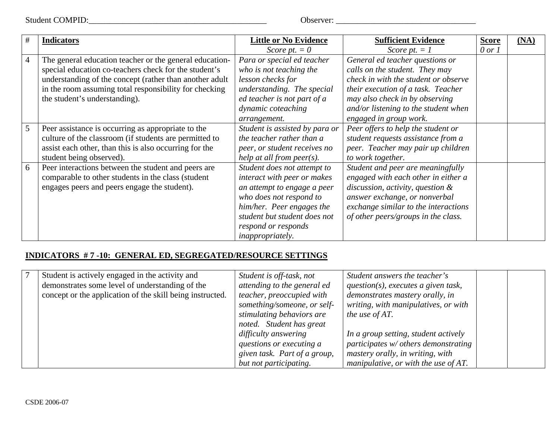Student COMPID:\_\_\_\_\_\_\_\_\_\_\_\_\_\_\_\_\_\_\_\_\_\_\_\_\_\_\_\_\_\_\_\_\_\_\_\_\_\_\_\_\_\_ Observer: \_\_\_\_\_\_\_\_\_\_\_\_\_\_\_\_\_\_\_\_\_\_\_\_\_\_\_\_\_\_\_\_\_

| #              | <b>Indicators</b>                                       | <b>Little or No Evidence</b>   | <b>Sufficient Evidence</b>           | <b>Score</b> | (NA) |
|----------------|---------------------------------------------------------|--------------------------------|--------------------------------------|--------------|------|
|                |                                                         | Score pt. $= 0$                | Score pt. $= 1$                      | $0$ or $1$   |      |
| $\overline{4}$ | The general education teacher or the general education- | Para or special ed teacher     | General ed teacher questions or      |              |      |
|                | special education co-teachers check for the student's   | who is not teaching the        | calls on the student. They may       |              |      |
|                | understanding of the concept (rather than another adult | lesson checks for              | check in with the student or observe |              |      |
|                | in the room assuming total responsibility for checking  | understanding. The special     | their execution of a task. Teacher   |              |      |
|                | the student's understanding).                           | ed teacher is not part of a    | may also check in by observing       |              |      |
|                |                                                         | dynamic coteaching             | and/or listening to the student when |              |      |
|                |                                                         | arrangement.                   | engaged in group work.               |              |      |
| 5              | Peer assistance is occurring as appropriate to the      | Student is assisted by para or | Peer offers to help the student or   |              |      |
|                | culture of the classroom (if students are permitted to  | the teacher rather than a      | student requests assistance from a   |              |      |
|                | assist each other, than this is also occurring for the  | peer, or student receives no   | peer. Teacher may pair up children   |              |      |
|                | student being observed).                                | help at all from $peer(s)$ .   | to work together.                    |              |      |
| 6              | Peer interactions between the student and peers are     | Student does not attempt to    | Student and peer are meaningfully    |              |      |
|                | comparable to other students in the class (student      | interact with peer or makes    | engaged with each other in either a  |              |      |
|                | engages peers and peers engage the student).            | an attempt to engage a peer    | discussion, activity, question $\&$  |              |      |
|                |                                                         | who does not respond to        | answer exchange, or nonverbal        |              |      |
|                |                                                         | him/her. Peer engages the      | exchange similar to the interactions |              |      |
|                |                                                         | student but student does not   | of other peers/groups in the class.  |              |      |
|                |                                                         | respond or responds            |                                      |              |      |
|                |                                                         | inappropriately.               |                                      |              |      |

# **INDICATORS # 7 -10: GENERAL ED, SEGREGATED/RESOURCE SETTINGS**

| Student is actively engaged in the activity and           | Student is off-task, not     | Student answers the teacher's           |
|-----------------------------------------------------------|------------------------------|-----------------------------------------|
| demonstrates some level of understanding of the           | attending to the general ed  | $question(s)$ , executes a given task,  |
| concept or the application of the skill being instructed. | teacher, preoccupied with    | demonstrates mastery orally, in         |
|                                                           | something/someone, or self-  | writing, with manipulatives, or with    |
|                                                           | stimulating behaviors are    | the use of $AT$ .                       |
|                                                           | noted. Student has great     |                                         |
|                                                           | difficulty answering         | In a group setting, student actively    |
|                                                           | questions or executing a     | participates w/ others demonstrating    |
|                                                           | given task. Part of a group, | mastery orally, in writing, with        |
|                                                           | but not participating.       | manipulative, or with the use of $AT$ . |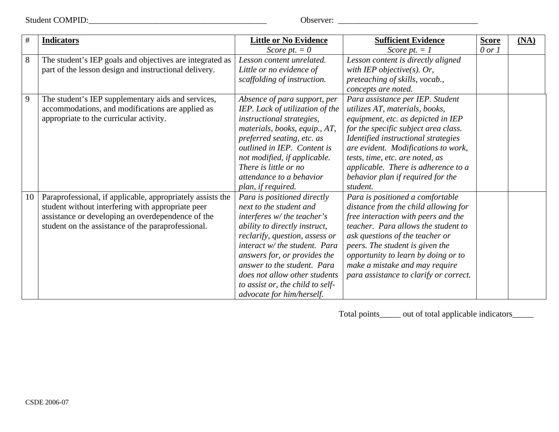Student COMPID:\_\_\_\_\_\_\_\_\_\_\_\_\_\_\_\_\_\_\_\_\_\_\_\_\_\_\_\_\_\_\_\_\_\_\_\_\_\_\_\_\_\_ Observer: \_\_\_\_\_\_\_\_\_\_\_\_\_\_\_\_\_\_\_\_\_\_\_\_\_\_\_\_\_\_\_\_\_

| $\#$ | <b>Indicators</b>                                          | <b>Little or No Evidence</b>     | <b>Sufficient Evidence</b>             | <b>Score</b> | (MA) |
|------|------------------------------------------------------------|----------------------------------|----------------------------------------|--------------|------|
|      |                                                            | Score pt. $= 0$                  | Score pt. $= 1$                        | $0$ or $1$   |      |
| 8    | The student's IEP goals and objectives are integrated as   | Lesson content unrelated.        | Lesson content is directly aligned     |              |      |
|      | part of the lesson design and instructional delivery.      | Little or no evidence of         | with IEP objective(s). Or,             |              |      |
|      |                                                            | scaffolding of instruction.      | preteaching of skills, vocab.,         |              |      |
|      |                                                            |                                  | concepts are noted.                    |              |      |
| 9    | The student's IEP supplementary aids and services,         | Absence of para support, per     | Para assistance per IEP. Student       |              |      |
|      | accommodations, and modifications are applied as           | IEP. Lack of utilization of the  | utilizes AT, materials, books,         |              |      |
|      | appropriate to the curricular activity.                    | instructional strategies,        | equipment, etc. as depicted in IEP     |              |      |
|      |                                                            | materials, books, equip., AT,    | for the specific subject area class.   |              |      |
|      |                                                            | preferred seating, etc. as       | Identified instructional strategies    |              |      |
|      |                                                            | outlined in IEP. Content is      | are evident. Modifications to work,    |              |      |
|      |                                                            | not modified, if applicable.     | tests, time, etc. are noted, as        |              |      |
|      |                                                            | There is little or no            | applicable. There is adherence to a    |              |      |
|      |                                                            | attendance to a behavior         | behavior plan if required for the      |              |      |
|      |                                                            | plan, if required.               | student.                               |              |      |
| 10   | Paraprofessional, if applicable, appropriately assists the | Para is positioned directly      | Para is positioned a comfortable       |              |      |
|      | student without interfering with appropriate peer          | next to the student and          | distance from the child allowing for   |              |      |
|      | assistance or developing an overdependence of the          | interferes $w$ the teacher's     | free interaction with peers and the    |              |      |
|      | student on the assistance of the paraprofessional.         | ability to directly instruct,    | teacher. Para allows the student to    |              |      |
|      |                                                            | reclarify, question, assess or   | ask questions of the teacher or        |              |      |
|      |                                                            | interact w/ the student. Para    | peers. The student is given the        |              |      |
|      |                                                            | answers for, or provides the     | opportunity to learn by doing or to    |              |      |
|      |                                                            | answer to the student. Para      | make a mistake and may require         |              |      |
|      |                                                            | does not allow other students    | para assistance to clarify or correct. |              |      |
|      |                                                            | to assist or, the child to self- |                                        |              |      |
|      |                                                            | advocate for him/herself.        |                                        |              |      |

Total points\_\_\_\_\_ out of total applicable indicators\_\_\_\_\_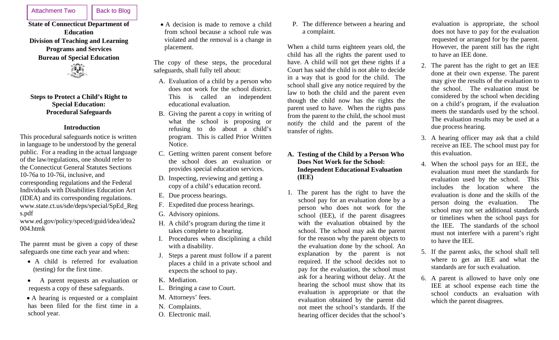<span id="page-6-0"></span>Attachment Two | Back to Blog

# **State of Connecticut Department of Education Division of Teaching and Learning Programs and Services Bureau of Special Education**



## **Steps to Protect a Child's Right to Special Education: Procedural Safeguards**

# **Introduction**

This procedural safeguards notice is written in language to be understood by the general public. For a reading in the actual language of the law/regulations, one should refer to the Connecticut General Statutes Sections 10-76a to 10-76i, inclusive, and corresponding regulations and the Federal Individuals with Disabilities Education Act (IDEA) and its corresponding regulations. [www.state.ct.us/sde/deps/special/SpEd\\_Reg](http://www.state.ct.us/sde/deps/special/SpEd_Regs.pdf) [s.p](http://www.state.ct.us/sde/deps/special/SpEd_Regs.pdf)df

[www.ed.gov/policy/speced/guid/idea/idea2](http://www.ed.gov/policy/speced/guid/idea/idea2) 004.htmk

The parent must be given a copy of these safeguards one time each year and when:

- A child is referred for evaluation (testing) for the first time.
- • A parent requests an evaluation or requests a copy of these safeguards.

• A hearing is requested or a complaint has been filed for the first time in a school year.

• A decision is made to remove a child from school because a school rule was violated and the removal is a change in placement.

The copy of these steps, the procedural safeguards, shall fully tell about:

- A. Evaluation of a child by a person who does not work for the school district. This is called an independent educational evaluation.
- B. Giving the parent a copy in writing of what the school is proposing or refusing to do about a child's program. This is called Prior Written Notice.
- C. Getting written parent consent before the school does an evaluation or provides special education services.
- D. Inspecting, reviewing and getting a copy of a child's education record.
- E. Due process hearings.
- F. Expedited due process hearings.
- G. Advisory opinions.
- H. A child's program during the time it takes complete to a hearing.
- I. Procedures when disciplining a child with a disability.
- J. Steps a parent must follow if a parent places a child in a private school and expects the school to pay.
- K. Mediation.
- L. Bringing a case to Court.
- M. Attorneys' fees.
- N. Complaints.
- O. Electronic mail.

P. The difference between a hearing and a complaint.

When a child turns eighteen years old, the child has all the rights the parent used to have. A child will not get these rights if a Court has said the child is not able to decide in a way that is good for the child. The school shall give any notice required by the law to both the child and the parent even though the child now has the rights the parent used to have. When the rights pass from the parent to the child, the school must notify the child and the parent of the transfer of rights.

# **A. Testing of the Child by a Person Who Does Not Work for the School: Independent Educational Evaluation (IEE)**

1. The parent has the right to have the school pay for an evaluation done by a person who does not work for the school (IEE), if the parent disagrees with the evaluation obtained by the school. The school may ask the parent for the reason why the parent objects to the evaluation done by the school. An explanation by the parent is not required. If the school decides not to pay for the evaluation, the school must ask for a hearing without delay. At the hearing the school must show that its evaluation is appropriate or that the evaluation obtained by the parent did not meet the school's standards. If the hearing officer decides that the school's

evaluation is appropriate, the school does not have to pay for the evaluation requested or arranged for by the parent. However, the parent still has the right to have an IEE done.

- 2. The parent has the right to get an IEE done at their own expense. The parent may give the results of the evaluation to the school. The evaluation must be considered by the school when deciding on a child's program, if the evaluation meets the standards used by the school. The evaluation results may be used at a due process hearing.
- 3. A hearing officer may ask that a child receive an IEE. The school must pay for this evaluation.
- 4. When the school pays for an IEE, the evaluation must meet the standards for evaluation used by the school. This includes the location where the evaluation is done and the skills of the person doing the evaluation. The school may not set additional standards or timelines when the school pays for the IEE. The standards of the school must not interfere with a parent's right to have the IEE.
- 5. If the parent asks, the school shall tell where to get an IEE and what the standards are for such evaluation.
- 6. A parent is allowed to have only one IEE at school expense each time the school conducts an evaluation with which the parent disagrees.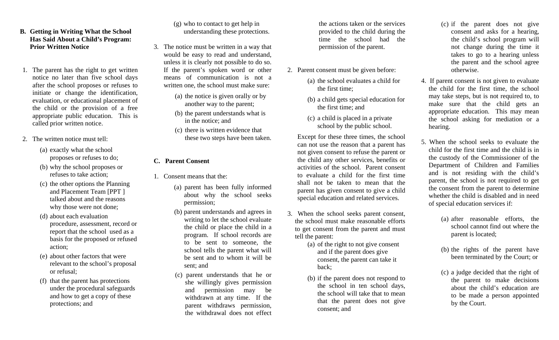# **B. Getting in Writing What the School Has Said About a Child's Program: Prior Written Notice**

- 1. The parent has the right to get written notice no later than five school days after the school proposes or refuses to initiate or change the identification, evaluation, or educational placement of the child or the provision of a free appropriate public education. This is called prior written notice.
- 2. The written notice must tell:
	- (a) exactly what the school proposes or refuses to do;
	- (b) why the school proposes or refuses to take action;
	- (c) the other options the Planning and Placement Team [PPT ] talked about and the reasons why those were not done;
	- (d) about each evaluation procedure, assessment, record or report that the school used as a basis for the proposed or refused action;
	- (e) about other factors that were relevant to the school's proposal or refusal;
	- (f) that the parent has protections under the procedural safeguards and how to get a copy of these protections; and

# (g) who to contact to get help in understanding these protections.

- 3. The notice must be written in a way that would be easy to read and understand, unless it is clearly not possible to do so. If the parent's spoken word or other means of communication is not a written one, the school must make sure:
	- (a) the notice is given orally or by another way to the parent;
	- (b) the parent understands what is in the notice; and
	- (c) there is written evidence that these two steps have been taken.

## **C. Parent Consent**

- 1. Consent means that the:
	- (a) parent has been fully informed about why the school seeks permission;
	- (b) parent understands and agrees in writing to let the school evaluate the child or place the child in a program. If school records are to be sent to someone, the school tells the parent what will be sent and to whom it will be sent; and
	- (c) parent understands that he or she willingly gives permission and permission may be withdrawn at any time. If the parent withdraws permission, the withdrawal does not effect

the actions taken or the services provided to the child during the time the school had the permission of the parent.

- 2. Parent consent must be given before:
	- (a) the school evaluates a child for the first time;
	- (b) a child gets special education for the first time; and
	- (c) a child is placed in a private school by the public school.

Except for these three times, the school can not use the reason that a parent has not given consent to refuse the parent or the child any other services, benefits or activities of the school. Parent consent to evaluate a child for the first time shall not be taken to mean that the parent has given consent to give a child special education and related services.

- 3. When the school seeks parent consent, the school must make reasonable efforts to get consent from the parent and must tell the parent:
	- (a) of the right to not give consent and if the parent does give consent, the parent can take it back;
	- (b) if the parent does not respond to the school in ten school days, the school will take that to mean that the parent does not give consent; and
- (c) if the parent does not give consent and asks for a hearing, the child's school program will not change during the time it takes to go to a hearing unless the parent and the school agree otherwise.
- 4. If parent consent is not given to evaluate the child for the first time, the school may take steps, but is not required to, to make sure that the child gets an appropriate education. This may mean the school asking for mediation or a hearing.
- 5. When the school seeks to evaluate the child for the first time and the child is in the custody of the Commissioner of the Department of Children and Families and is not residing with the child's parent, the school is not required to get the consent from the parent to determine whether the child is disabled and in need of special education services if:
	- (a) after reasonable efforts, the school cannot find out where the parent is located;
	- (b) the rights of the parent have been terminated by the Court; or
	- (c) a judge decided that the right of the parent to make decisions about the child's education are to be made a person appointed by the Court.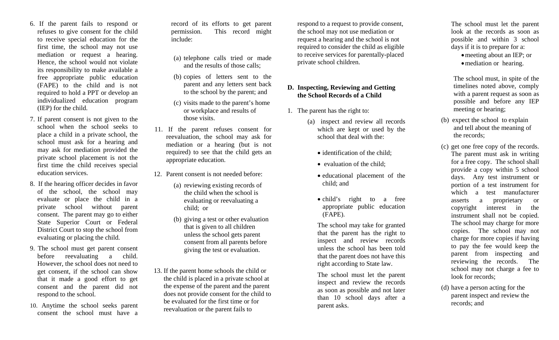- 6. If the parent fails to respond or refuses to give consent for the child to receive special education for the first time, the school may not use mediation or request a hearing. Hence, the school would not violate its responsibility to make available a free appropriate public education (FAPE) to the child and is not required to hold a PPT or develop an individualized education program (IEP) for the child.
- 7. If parent consent is not given to the school when the school seeks to place a child in a private school, the school must ask for a hearing and may ask for mediation provided the private school placement is not the first time the child receives special education services.
- 8. If the hearing officer decides in favor of the school, the school may evaluate or place the child in a private school without parent consent. The parent may go to either State Superior Court or Federal District Court to stop the school from evaluating or placing the child.
- 9. The school must get parent consent before reevaluating a child. However, the school does not need to get consent, if the school can show that it made a good effort to get consent and the parent did not respond to the school.
- 10. Anytime the school seeks parent consent the school must have a

record of its efforts to get parent permission. This record might include:

- (a) telephone calls tried or made and the results of those calls;
- (b) copies of letters sent to the parent and any letters sent back to the school by the parent; and
- (c) visits made to the parent's home or workplace and results of those visits.
- 11. If the parent refuses consent for reevaluation, the school may ask for mediation or a hearing (but is not required) to see that the child gets an appropriate education.
- 12. Parent consent is not needed before:
	- (a) reviewing existing records of the child when the school is evaluating or reevaluating a child; or
	- (b) giving a test or other evaluation that is given to all children unless the school gets parent consent from all parents before giving the test or evaluation.
- 13. If the parent home schools the child or the child is placed in a private school at the expense of the parent and the parent does not provide consent for the child to be evaluated for the first time or for reevaluation or the parent fails to

respond to a request to provide consent, the school may not use mediation or request a hearing and the school is not required to consider the child as eligible to receive services for parentally-placed private school children.

# **D. Inspecting, Reviewing and Getting the School Records of a Child**

- 1. The parent has the right to:
	- (a) inspect and review all records which are kept or used by the school that deal with the:
		- identification of the child;
		- evaluation of the child:
		- educational placement of the child; and
		- child's right to a free appropriate public education (FAPE).

The school may take for granted that the parent has the right to inspect and review records unless the school has been told that the parent does not have this right according to State law.

The school must let the parent inspect and review the records as soon as possible and not later than 10 school days after a parent asks.

The school must let the parent look at the records as soon as possible and within 3 school days if it is to prepare for a:

- meeting about an IEP; or
- mediation or hearing.

The school must, in spite of the timelines noted above, comply with a parent request as soon as possible and before any IEP meeting or hearing;

- (b) expect the school to explain and tell about the meaning of the records;
- (c) get one free copy of the records. The parent must ask in writing for a free copy. The school shall provide a copy within 5 school days. Any test instrument or portion of a test instrument for which a test manufacturer asserts a proprietary or copyright interest in the instrument shall not be copied. The school may charge for more copies. The school may not charge for more copies if having to pay the fee would keep the parent from inspecting and reviewing the records. The school may not charge a fee to look for records:
- (d) have a person acting for the parent inspect and review the records; and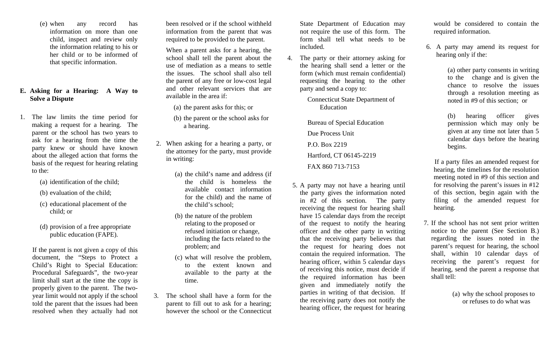(e) when any record has information on more than one child, inspect and review only the information relating to his or her child or to be informed of that specific information.

# **E. Asking for a Hearing: A Way to Solve a Dispute**

- 1. The law limits the time period for making a request for a hearing. The parent or the school has two years to ask for a hearing from the time the party knew or should have known about the alleged action that forms the basis of the request for hearing relating to the:
	- (a) identification of the child;
	- (b) evaluation of the child;
	- (c) educational placement of the child; or
	- (d) provision of a free appropriate public education (FAPE).

If the parent is not given a copy of this document, the "Steps to Protect a Child's Right to Special Education: Procedural Safeguards", the two-year limit shall start at the time the copy is properly given to the parent. The twoyear limit would not apply if the school told the parent that the issues had been resolved when they actually had not

been resolved or if the school withheld information from the parent that was required to be provided to the parent.

When a parent asks for a hearing, the school shall tell the parent about the use of mediation as a means to settle the issues. The school shall also tell the parent of any free or low-cost legal and other relevant services that are available in the area if:

- (a) the parent asks for this; or
- (b) the parent or the school asks for a hearing.
- 2. When asking for a hearing a party, or the attorney for the party, must provide in writing:
	- (a) the child's name and address (if the child is homeless the available contact information for the child) and the name of the child's school;
	- (b) the nature of the problem relating to the proposed or refused initiation or change, including the facts related to the problem; and
	- (c) what will resolve the problem, to the extent known and available to the party at the time.
- 3. The school shall have a form for the parent to fill out to ask for a hearing; however the school or the Connecticut

State Department of Education may not require the use of this form. The form shall tell what needs to be included.

4. The party or their attorney asking for the hearing shall send a letter or the form (which must remain confidential) requesting the hearing to the other party and send a copy to:

> Connecticut State Department of Education

Bureau of Special Education Due Process Unit P.O. Box 2219 Hartford, CT 06145-2219 FAX 860 713-7153

5. A party may not have a hearing until the party gives the information noted in #2 of this section. The party receiving the request for hearing shall have 15 calendar days from the receipt of the request to notify the hearing officer and the other party in writing that the receiving party believes that the request for hearing does not contain the required information. The hearing officer, within 5 calendar days of receiving this notice, must decide if the required information has been given and immediately notify the parties in writing of that decision. If the receiving party does not notify the hearing officer, the request for hearing

would be considered to contain the required information.

6. A party may amend its request for hearing only if the:

> (a) other party consents in writing to the change and is given the chance to resolve the issues through a resolution meeting as noted in #9 of this section; or

(b) hearing officer gives permission which may only be given at any time not later than 5 calendar days before the hearing begins.

 If a party files an amended request for hearing, the timelines for the resolution meeting noted in #9 of this section and for resolving the parent's issues in #12 of this section, begin again with the filing of the amended request for hearing.

7. If the school has not sent prior written notice to the parent (See Section B.) regarding the issues noted in the paren<sup>t</sup>'s request for hearing, the school shall, within 10 calendar days of receiving the parent's request for hearing, send the parent a response that shall tell:

> (a) why the school proposes to or refuses to do what was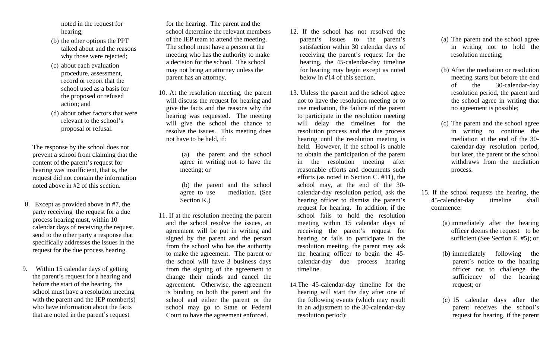noted in the request for hearing;

- (b) the other options the PPT talked about and the reasons why those were rejected;
- (c) about each evaluation procedure, assessment, record or report that the school used as a basis for the proposed or refused action; and
- (d) about other factors that were relevant to the school's proposal or refusal.

The response by the school does not prevent a school from claiming that the content of the parent's request for hearing was insufficient, that is, the request did not contain the information noted above in #2 of this section.

- 8. Except as provided above in #7, the party receiving the request for a due process hearing must, within 10 calendar days of receiving the request, send to the other party a response that specifically addresses the issues in the request for the due process hearing.
- 9. Within 15 calendar days of getting the parent's request for a hearing and before the start of the hearing, the school must have a resolution meeting with the parent and the IEP member(s) who have information about the facts that are noted in the parent's request

for the hearing. The parent and the school determine the relevant members of the IEP team to attend the meeting. The school must have a person at the meeting who has the authority to make a decision for the school. The school may not bring an attorney unless the parent has an attorney.

10. At the resolution meeting, the parent will discuss the request for hearing and give the facts and the reasons why the hearing was requested. The meeting will give the school the chance to resolve the issues. This meeting does not have to be held, if:

> (a) the parent and the school agree in writing not to have the meeting; or

> (b) the parent and the school agree to use mediation. (See Section K.)

11. If at the resolution meeting the parent and the school resolve the issues, an agreement will be put in writing and signed by the parent and the person from the school who has the authority to make the agreement. The parent or the school will have 3 business days from the signing of the agreement to change their minds and cancel the agreement. Otherwise, the agreement is binding on both the parent and the school and either the parent or the school may go to State or Federal Court to have the agreement enforced.

- 12. If the school has not resolved the paren<sup>t</sup>'s issues to the parent's satisfaction within 30 calendar days of receiving the parent's request for the hearing, the 45-calendar-day timeline for hearing may begin except as noted below in #14 of this section.
- 13. Unless the parent and the school agree not to have the resolution meeting or to use mediation, the failure of the parent to participate in the resolution meeting will delay the timelines for the resolution process and the due process hearing until the resolution meeting is held. However, if the school is unable to obtain the participation of the parent in the resolution meeting after reasonable efforts and documents such efforts (as noted in Section C. #11), the school may, at the end of the 30 calendar-day resolution period, ask the hearing officer to dismiss the parent's request for hearing. In addition, if the school fails to hold the resolution meeting within 15 calendar days of receiving the parent's request for hearing or fails to participate in the resolution meeting, the parent may ask the hearing officer to begin the 45 calendar-day due process hearing timeline.
- 14.The 45-calendar-day timeline for the hearing will start the day after one of the following events (which may result in an adjustment to the 30-calendar-day resolution period):
- (a) The parent and the school agree in writing not to hold the resolution meeting;
- (b) After the mediation or resolution meeting starts but before the end of the 30-calendar-day resolution period, the parent and the school agree in writing that no agreement is possible;
- (c) The parent and the school agree in writing to continue the mediation at the end of the 30calendar-day resolution period, but later, the parent or the school withdraws from the mediation process.
- 15. If the school requests the hearing, the 45-calendar-day timeline shall commence:
	- (a) immediately after the hearing officer deems the request to be sufficient (See Section E. #5); or
	- (b) immediately following the paren<sup>t</sup>'s notice to the hearing officer not to challenge the sufficiency of the hearing request; or
	- (c) 15 calendar days after the parent receives the school's request for hearing, if the parent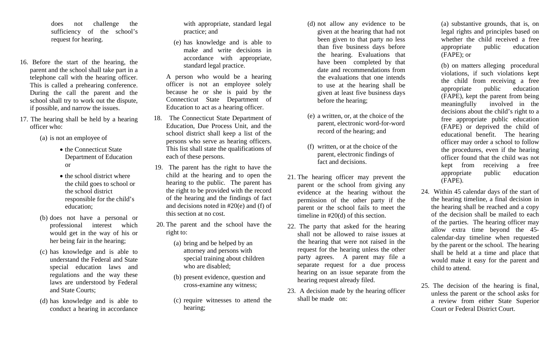does not challenge the sufficiency of the school's request for hearing.

- 16. Before the start of the hearing, the parent and the school shall take part in a telephone call with the hearing officer. This is called a prehearing conference. During the call the parent and the school shall try to work out the dispute, if possible, and narrow the issues.
- 17. The hearing shall be held by a hearing officer who:

(a) is not an employee of

- the Connecticut State Department of Education or
- the school district where the child goes to school or the school district responsible for the child's education;
- (b) does not have a personal or professional interest which would get in the way of his or her being fair in the hearing;
- (c) has knowledge and is able to understand the Federal and State special education laws and regulations and the way these laws are understood by Federal and State Courts;
- (d) has knowledge and is able to conduct a hearing in accordance

with appropriate, standard legal practice; and

(e) has knowledge and is able to make and write decisions in accordance with appropriate, standard legal practice.

A person who would be a hearing officer is not an employee solely because he or she is paid by the Connecticut State Department of Education to act as a hearing officer.

- 18. The Connecticut State Department of Education, Due Process Unit, and the school district shall keep a list of the persons who serve as hearing officers. This list shall state the qualifications of each of these persons.
- 19. The parent has the right to have the child at the hearing and to open the hearing to the public. The parent has the right to be provided with the record of the hearing and the findings of fact and decisions noted in #20(e) and (f) of this section at no cost.
- 20. The parent and the school have the right to:
	- (a) bring and be helped by an attorney and persons with special training about children who are disabled;
	- (b) present evidence, question and cross-examine any witness;
	- (c) require witnesses to attend the hearing;
- (d) not allow any evidence to be given at the hearing that had not been given to that party no less than five business days before the hearing. Evaluations that have been completed by that date and recommendations from the evaluations that one intends to use at the hearing shall be given at least five business days before the hearing;
- (e) a written, or, at the choice of the parent, electronic word-for-word record of the hearing; and
- (f) written, or at the choice of the parent, electronic findings of fact and decisions.
- 21. The hearing officer may prevent the parent or the school from giving any evidence at the hearing without the permission of the other party if the parent or the school fails to meet the timeline in #20(d) of this section.
- 22. The party that asked for the hearing shall not be allowed to raise issues at the hearing that were not raised in the request for the hearing unless the other party agrees. A parent may file a separate request for a due process hearing on an issue separate from the hearing request already filed.
- 23. A decision made by the hearing officer shall be made on:

(a) substantive grounds, that is, on legal rights and principles based on whether the child received a free appropriate public education (FAPE); or

(b) on matters alleging procedural violations, if such violations kept the child from receiving a free appropriate public education (FAPE), kept the parent from being meaningfully involved in the decisions about the child's right to a free appropriate public education (FAPE) or deprived the child of educational benefit. The hearing officer may order a school to follow the procedures, even if the hearing officer found that the child was not kept from receiving a free appropriate public education (FAPE).

- 24. Within 45 calendar days of the start of the hearing timeline, a final decision in the hearing shall be reached and a copy of the decision shall be mailed to each of the parties. The hearing officer may allow extra time beyond the 45 calendar-day timeline when requested by the parent or the school. The hearing shall be held at a time and place that would make it easy for the parent and child to attend.
- 25. The decision of the hearing is final, unless the parent or the school asks for a review from either State Superior Court or Federal District Court.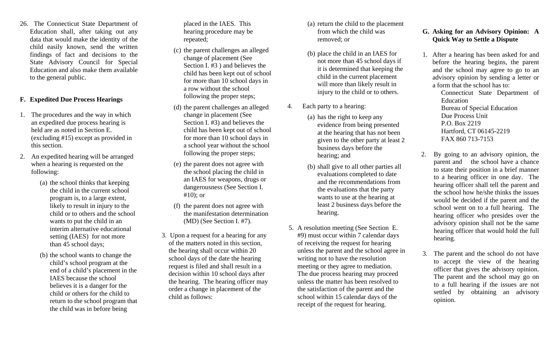26. The Connecticut State Department of Education shall, after taking out any data that would make the identity of the child easily known, send the written findings of fact and decisions to the State Advisory Council for Special Education and also make them available to the general public.

# **F. Expedited Due Process Hearings**

- 1. The procedures and the way in which an expedited due process hearing is held are as noted in Section E. (excluding #15) except as provided in this section.
- 2. An expedited hearing will be arranged when a hearing is requested on the following:
	- (a) the school thinks that keeping the child in the current school program is, to a large extent, likely to result in injury to the child or to others and the school wants to put the child in an interim alternative educational setting (IAES) for not more than 45 school days;
	- (b) the school wants to change the child's school program at the end of a child's placement in the IAES because the school believes it is a danger for the child or others for the child to return to the school program that the child was in before being

placed in the IAES. This hearing procedure may be repeated;

- (c) the parent challenges an alleged change of placement (See Section I. #3 ) and believes the child has been kept out of school for more than 10 school days in a row without the school following the proper steps;
- (d) the parent challenges an alleged change in placement (See Section I. #3) and believes the child has been kept out of school for more than 10 school days in a school year without the school following the proper steps;
- (e) the parent does not agree with the school placing the child in an IAES for weapons, drugs or dangerousness (See Section I. #10); or
- (f) the parent does not agree with the manifestation determination (MD) (See Section I. #7).
- 3. Upon a request for a hearing for any of the matters noted in this section, the hearing shall occur within 20 school days of the date the hearing request is filed and shall result in a decision within 10 school days after the hearing. The hearing officer may order a change in placement of the child as follows:
- (a) return the child to the placement from which the child was removed; or
- (b) place the child in an IAES for not more than 45 school days if it is determined that keeping the child in the current placement will more than likely result in injury to the child or to others.
- 4. Each party to a hearing:
	- (a) has the right to keep any evidence from being presented at the hearing that has not been given to the other party at least 2 business days before the hearing; and
	- (b) shall give to all other parties all evaluations completed to date and the recommendations from the evaluations that the party wants to use at the hearing at least 2 business days before the hearing.
- 5. A resolution meeting (See Section E. #9) must occur within 7 calendar days of receiving the request for hearing unless the parent and the school agree in writing not to have the resolution meeting or they agree to mediation. The due process hearing may proceed unless the matter has been resolved to the satisfaction of the parent and the school within 15 calendar days of the receipt of the request for hearing.

# **G. Asking for an Advisory Opinion: A Quick Way to Settle a Dispute**

1. After a hearing has been asked for and before the hearing begins, the parent and the school may agree to go to an advisory opinion by sending a letter or a form that the school has to:

> Connecticut State Department of Education Bureau of Special Education Due Process Unit P.O. Box 2219 Hartford, CT 06145-2219 FAX 860 713-7153

- 2. By going to an advisory opinion, the parent and the school have a chance to state their position in a brief manner to a hearing officer in one day. The hearing officer shall tell the parent and the school how he/she thinks the issues would be decided if the parent and the school went on to a full hearing. The hearing officer who presides over the advisory opinion shall not be the same hearing officer that would hold the full hearing.
- 3. The parent and the school do not have to accept the view of the hearing officer that gives the advisory opinion. The parent and the school may go on to a full hearing if the issues are not settled by obtaining an advisory opinion.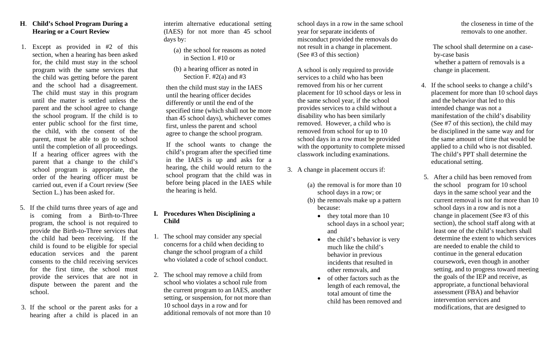# **H**. **Child's School Program During a Hearing or a Court Review**

- 1. Except as provided in #2 of this section, when a hearing has been asked for, the child must stay in the school program with the same services that the child was getting before the parent and the school had a disagreement. The child must stay in this program until the matter is settled unless the parent and the school agree to change the school program. If the child is to enter public school for the first time, the child, with the consent of the parent, must be able to go to school until the completion of all proceedings. If a hearing officer agrees with the parent that a change to the child's school program is appropriate, the order of the hearing officer must be carried out, even if a Court review (See Section L.) has been asked for.
- 5. If the child turns three years of age and is coming from a Birth-to-Three program, the school is not required to provide the Birth-to-Three services that the child had been receiving. If the child is found to be eligible for special education services and the parent consents to the child receiving services for the first time, the school must provide the services that are not in dispute between the parent and the school.
- 3. If the school or the parent asks for a hearing after a child is placed in an

interim alternative educational setting (IAES) for not more than 45 school days by:

- (a) the school for reasons as noted in Section I. #10 or
- (b) a hearing officer as noted in Section F. #2(a) and #3

then the child must stay in the IAES until the hearing officer decides differently or until the end of the specified time (which shall not be more than 45 school days), whichever comes first, unless the parent and school agree to change the school program.

If the school wants to change the child's program after the specified time in the IAES is up and asks for a hearing, the child would return to the school program that the child was in before being placed in the IAES while the hearing is held.

# **I. Procedures When Disciplining a Child**

- 1. The school may consider any special concerns for a child when deciding to change the school program of a child who violated a code of school conduct.
- 2. The school may remove a child from school who violates a school rule from the current program to an IAES, another setting, or suspension, for not more than 10 school days in a row and for additional removals of not more than 10

school days in a row in the same school year for separate incidents of misconduct provided the removals do not result in a change in placement. (See #3 of this section)

A school is only required to provide services to a child who has been removed from his or her current placement for 10 school days or less in the same school year, if the school provides services to a child without a disability who has been similarly removed. However, a child who is removed from school for up to 10 school days in a row must be provided with the opportunity to complete missed classwork including examinations.

- 3. A change in placement occurs if:
	- (a) the removal is for more than 10 school days in a row; or
	- (b) the removals make up a pattern because:
		- they total more than 10 school days in a school year; and
		- the child's behavior is very much like the child's behavior in previous incidents that resulted in other removals, and
		- of other factors such as the length of each removal, the total amount of time the child has been removed and

the closeness in time of the removals to one another.

 The school shall determine on a caseby-case basis whether a pattern of removals is a change in placement.

- 4. If the school seeks to change a child's placement for more than 10 school days and the behavior that led to this intended change was not a manifestation of the child's disability (See #7 of this section), the child may be disciplined in the same way and for the same amount of time that would be applied to a child who is not disabled. The child's PPT shall determine the educational setting.
- 5. After a child has been removed from the school program for 10 school days in the same school year and the current removal is not for more than 10 school days in a row and is not a change in placement (See #3 of this section), the school staff along with at least one of the child's teachers shall determine the extent to which services are needed to enable the child to continue in the general education coursework, even though in another setting, and to progress toward meeting the goals of the IEP and receive, as appropriate, a functional behavioral assessment (FBA) and behavior intervention services and modifications, that are designed to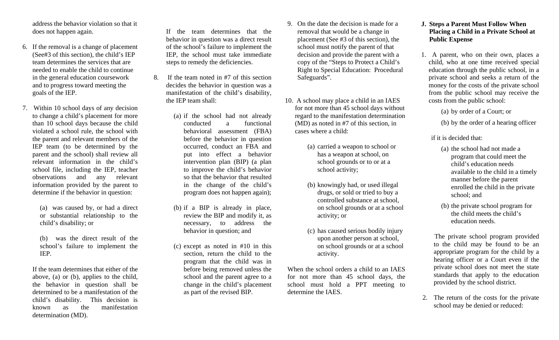address the behavior violation so that it does not happen again.

- 6. If the removal is a change of placement (See#3 of this section), the child's IEP team determines the services that are needed to enable the child to continue in the general education coursework and to progress toward meeting the goals of the IEP.
- 7. Within 10 school days of any decision to change a child's placement for more than 10 school days because the child violated a school rule, the school with the parent and relevant members of the IEP team (to be determined by the parent and the school) shall review all relevant information in the child's school file, including the IEP, teacher observations and any relevant information provided by the parent to determine if the behavior in question:

(a) was caused by, or had a direct or substantial relationship to the child's disability; or

(b) was the direct result of the school's failure to implement the IEP.

If the team determines that either of the above, (a) or (b), applies to the child, the behavior in question shall be determined to be a manifestation of the child's disability. This decision is known as the manifestation determination (MD).

If the team determines that the behavior in question was a direct result of the school's failure to implement the IEP, the school must take immediate steps to remedy the deficiencies.

- 8. If the team noted in #7 of this section decides the behavior in question was a manifestation of the child's disability, the IEP team shall:
	- (a) if the school had not already conducted a functional behavioral assessment (FBA) before the behavior in question occurred, conduct an FBA and put into effect a behavior intervention plan (BIP) (a plan to improve the child's behavior so that the behavior that resulted in the change of the child's program does not happen again);
	- (b) if a BIP is already in place, review the BIP and modify it, as necessary, to address the behavior in question; and
	- (c) except as noted in #10 in this section, return the child to the program that the child was in before being removed unless the school and the parent agree to a change in the child's placement as part of the revised BIP.
- 9. On the date the decision is made for a removal that would be a change in placement (See #3 of this section), the school must notify the parent of that decision and provide the parent with a copy of the "Steps to Protect a Child's Right to Special Education: Procedural Safeguards".
- 10. A school may place a child in an IAES for not more than 45 school days without regard to the manifestation determination (MD) as noted in #7 of this section, in cases where a child:
	- (a) carried a weapon to school or has a weapon at school, on school grounds or to or at a school activity;
	- (b) knowingly had, or used illegal drugs, or sold or tried to buy a controlled substance at school, on school grounds or at a school activity; or
	- (c) has caused serious bodily injury upon another person at school, on school grounds or at a school activity.

When the school orders a child to an IAES for not more than 45 school days, the school must hold a PPT meeting to determine the IAES.

# **J. Steps a Parent Must Follow When Placing a Child in a Private School at Public Expense**

1. A parent, who on their own, places a child, who at one time received special education through the public school, in a private school and seeks a return of the money for the costs of the private school from the public school may receive the costs from the public school:

(a) by order of a Court; or

(b) by the order of a hearing officer

# if it is decided that:

- (a) the school had not made a program that could meet the child's education needs available to the child in a timely manner before the parent enrolled the child in the private school; and
- (b) the private school program for the child meets the child's education needs.

 The private school program provided to the child may be found to be an appropriate program for the child by a hearing officer or a Court even if the private school does not meet the state standards that apply to the education provided by the school district.

2. The return of the costs for the private school may be denied or reduced: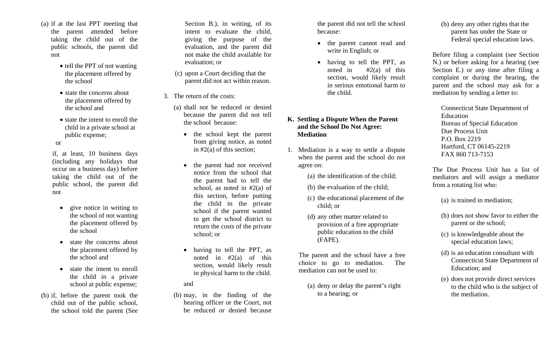- (a) if at the last PPT meeting that the parent attended before taking the child out of the public schools, the parent did not
	- tell the PPT of not wanting the placement offered by the school
	- state the concerns about the placement offered by the school and
	- state the intent to enroll the child in a private school at public expense;

or

if, at least, 10 business days (including any holidays that occur on a business day) before taking the child out of the public school, the parent did not

- $\bullet$  give notice in writing to the school of not wanting the placement offered by the school
- state the concerns about the placement offered by the school and
- state the intent to enroll the child in a private school at public expense;
- (b) if, before the parent took the child out of the public school, the school told the parent (See

Section B.), in writing, of its intent to evaluate the child, giving the purpose of the evaluation, and the parent did not make the child available for evaluation; or

- (c) upon a Court deciding that the parent did not act within reason.
- 3. The return of the costs:
	- (a) shall not be reduced or denied because the parent did not tell the school because:
		- the school kept the parent from giving notice, as noted in #2(a) of this section;
		- $\bullet$  the parent had not received notice from the school that the parent had to tell the school, as noted in  $#2(a)$  of this section, before putting the child in the private school if the parent wanted to get the school district to return the costs of the private school; or
		- • having to tell the PPT, as noted in  $\#2(a)$  of this section, would likely result in physical harm to the child.

and

(b) may, in the finding of the hearing officer or the Court, not be reduced or denied because

the parent did not tell the school because:

- the parent cannot read and write in English; or
- having to tell the PPT, as noted in  $#2(a)$  of this section, would likely result in serious emotional harm to the child.

# **K. Settling a Dispute When the Parent and the School Do Not Agree: Mediation**

- 1. Mediation is a way to settle a dispute when the parent and the school do not agree on:
	- (a) the identification of the child;
	- (b) the evaluation of the child;
	- (c) the educational placement of the child; or
	- (d) any other matter related to provision of a free appropriate public education to the child (FAPE).

The parent and the school have a free choice to go to mediation. The mediation can not be used to:

(a) deny or delay the parent's right to a hearing; or

(b) deny any other rights that the parent has under the State or Federal special education laws.

Before filing a complaint (see Section N.) or before asking for a hearing (see Section E.) or any time after filing a complaint or during the hearing, the parent and the school may ask for a mediation by sending a letter to:

Connecticut State Department of Education Bureau of Special Education Due Process Unit P.O. Box 2219 Hartford, CT 06145-2219 FAX 860 713-7153

The Due Process Unit has a list of mediators and will assign a mediator from a rotating list who:

(a) is trained in mediation;

- (b) does not show favor to either the parent or the school;
- (c) is knowledgeable about the special education laws;
- (d) is an education consultant with Connecticut State Department of Education; and
- (e) does not provide direct services to the child who is the subject of the mediation.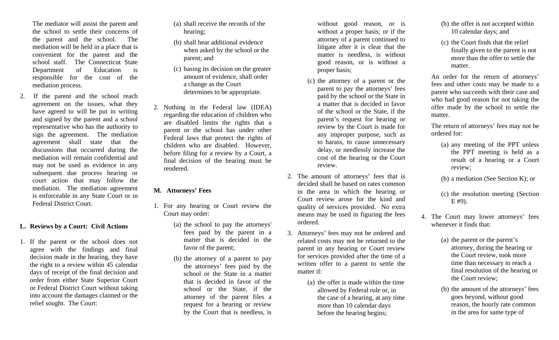The mediator will assist the parent and the school to settle their concerns of the parent and the school. The mediation will be held in a place that is convenient for the parent and the school staff. The Connecticut State Department of Education is responsible for the cost of the mediation process.

2. If the parent and the school reach agreement on the issues, what they have agreed to will be put in writing and signed by the parent and a school representative who has the authority to sign the agreement. The mediation agreement shall state that the discussions that occurred during the mediation will remain confidential and may not be used as evidence in any subsequent due process hearing or court action that may follow the mediation. The mediation agreement is enforceable in any State Court or in Federal District Court.

## **L. Reviews by a Court: Civil Actions**

1. If the parent or the school does not agree with the findings and final decision made in the hearing, they have the right to a review within 45 calendar days of receipt of the final decision and order from either State Superior Court or Federal District Court without taking into account the damages claimed or the relief sought. The Court:

- (a) shall receive the records of the hearing;
- (b) shall hear additional evidence when asked by the school or the parent; and
- (c) basing its decision on the greater amount of evidence, shall order a change as the Court determines to be appropriate.
- 2. Nothing in the Federal law (IDEA) regarding the education of children who are disabled limits the rights that a parent or the school has under other Federal laws that protect the rights of children who are disabled. However, before filing for a review by a Court, a final decision of the hearing must be rendered.

# **M. Attorneys' Fees**

- 1. For any hearing or Court review the Court may order:
	- (a) the school to pay the attorneys' fees paid by the parent in a matter that is decided in the favor of the parent;
	- (b) the attorney of a parent to pay the attorneys' fees paid by the school or the State in a matter that is decided in favor of the school or the State, if the attorney of the parent files a request for a hearing or review by the Court that is needless, is

without good reason, or is without a proper basis; or if the attorney of a parent continued to litigate after it is clear that the matter is needless, is without good reason, or is without a proper basis;

- (c) the attorney of a parent or the parent to pay the attorneys' fees paid by the school or the State in a matter that is decided in favor of the school or the State, if the paren<sup>t</sup>'s request for hearing or review by the Court is made for any improper purpose, such as to harass, to cause unnecessary delay, or needlessly increase the cost of the hearing or the Court review.
- 2. The amount of attorneys' fees that is decided shall be based on rates common in the area in which the hearing or Court review arose for the kind and quality of services provided. No extra means may be used in figuring the fees ordered.
- 3. Attorneys' fees may not be ordered and related costs may not be returned to the parent in any hearing or Court review for services provided after the time of a written offer to a parent to settle the matter if:
	- (a) the offer is made within the time allowed by Federal rule or, in the case of a hearing, at any time more than 10 calendar days before the hearing begins;
- (b) the offer is not accepted within 10 calendar days; and
- (c) the Court finds that the relief finally given to the parent is not more than the offer to settle the matter.

An order for the return of attorneys' fees and other costs may be made to a parent who succeeds with their case and who had good reason for not taking the offer made by the school to settle the matter.

The return of attorneys' fees may not be ordered for:

(a) any meeting of the PPT unless the PPT meeting is held as a result of a hearing or a Court review;

(b) a mediation (See Section K); or

- (c) the resolution meeting (Section E #9).
- 4. The Court may lower attorneys' fees whenever it finds that:
	- (a) the parent or the parent's attorney, during the hearing or the Court review, took more time than necessary to reach a final resolution of the hearing or the Court review;
	- (b) the amount of the attorneys' fees goes beyond, without good reason, the hourly rate common in the area for same type of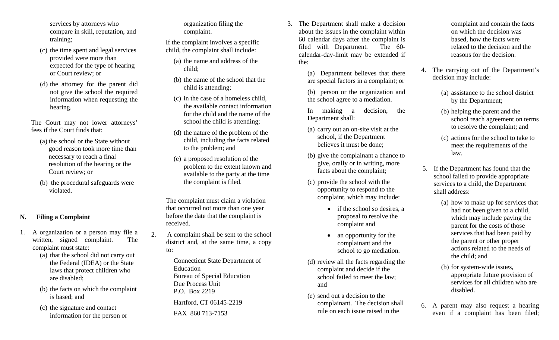services by attorneys who compare in skill, reputation, and training;

- (c) the time spent and legal services provided were more than expected for the type of hearing or Court review; or
- (d) the attorney for the parent did not give the school the required information when requesting the hearing.

The Court may not lower attorneys' fees if the Court finds that:

- (a) the school or the State without good reason took more time than necessary to reach a final resolution of the hearing or the Court review; or
- (b) the procedural safeguards were violated.

# **N. Filing a Complaint**

- 1. A organization or a person may file a written, signed complaint. The complaint must state:
	- (a) that the school did not carry out the Federal (IDEA) or the State laws that protect children who are disabled;
	- (b) the facts on which the complaint is based; and
	- (c) the signature and contact information for the person or

organization filing the complaint.

If the complaint involves a specific child, the complaint shall include:

- (a) the name and address of the child;
- (b) the name of the school that the child is attending;
- (c) in the case of a homeless child, the available contact information for the child and the name of the school the child is attending;
- (d) the nature of the problem of the child, including the facts related to the problem; and
- (e) a proposed resolution of the problem to the extent known and available to the party at the time the complaint is filed.

The complaint must claim a violation that occurred not more than one year before the date that the complaint is received.

2. A complaint shall be sent to the school district and, at the same time, a copy to:

> Connecticut State Department of Education Bureau of Special Education Due Process Unit P.O. Box 2219 Hartford, CT 06145-2219

FAX 860 713-7153

3. The Department shall make a decision about the issues in the complaint within 60 calendar days after the complaint is filed with Department. The 60 calendar-day-limit may be extended if the:

> (a) Department believes that there are special factors in a complaint; or

> (b) person or the organization and the school agree to a mediation.

In making a decision, the Department shall:

- (a) carry out an on-site visit at the school, if the Department believes it must be done;
- (b) give the complainant a chance to give, orally or in writing, more facts about the complaint;
- (c) provide the school with the opportunity to respond to the complaint, which may include:
	- if the school so desires, a proposal to resolve the complaint and
	- • an opportunity for the complainant and the school to go mediation.
- (d) review all the facts regarding the complaint and decide if the school failed to meet the law; and
- (e) send out a decision to the complainant. The decision shall rule on each issue raised in the

complaint and contain the facts on which the decision was based, how the facts were related to the decision and the reasons for the decision.

- 4. The carrying out of the Department's decision may include:
	- (a) assistance to the school district by the Department;
	- (b) helping the parent and the school reach agreement on terms to resolve the complaint; and
	- (c) actions for the school to take to meet the requirements of the law.
- 5. If the Department has found that the school failed to provide appropriate services to a child, the Department shall address:
	- (a) how to make up for services that had not been given to a child, which may include paying the parent for the costs of those services that had been paid by the parent or other proper actions related to the needs of the child; and
	- (b) for system-wide issues, appropriate future provision of services for all children who are disabled.
- 6. A parent may also request a hearing even if a complaint has been filed;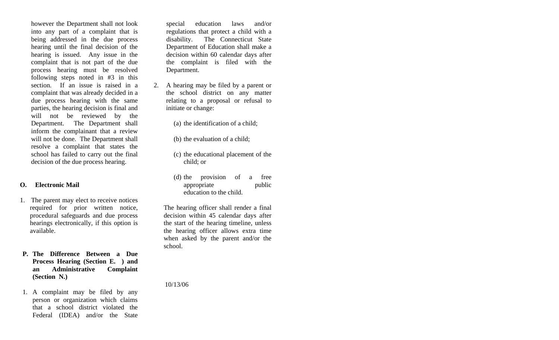however the Department shall not look into any part of a complaint that is being addressed in the due process hearing until the final decision of the hearing is issued. Any issue in the complaint that is not part of the due process hearing must be resolved following steps noted in #3 in this section. If an issue is raised in a complaint that was already decided in a due process hearing with the same parties, the hearing decision is final and will not be reviewed by the Department. The Department shall inform the complainant that a review will not be done. The Department shall resolve a complaint that states the school has failed to carry out the final decision of the due process hearing.

## **O. Electronic Mail**

- 1. The parent may elect to receive notices required for prior written notice, procedural safeguards and due process hearings electronically, if this option is available.
- **P. The Difference Between a Due Process Hearing (Section E. ) and an Administrative Complaint (Section N.)**
- 1. A complaint may be filed by any person or organization which claims that a school district violated the Federal (IDEA) and/or the State

special education laws and/or regulations that protect a child with a disability. The Connecticut State Department of Education shall make a decision within 60 calendar days after the complaint is filed with the Department.

- 2. A hearing may be filed by a parent or the school district on any matter relating to a proposal or refusal to initiate or change:
	- (a) the identification of a child;
	- (b) the evaluation of a child;
	- (c) the educational placement of the child; or
	- (d) the provision of a free appropriate public education to the child.

The hearing officer shall render a final decision within 45 calendar days after the start of the hearing timeline, unless the hearing officer allows extra time when asked by the parent and/or the school.

10/13/06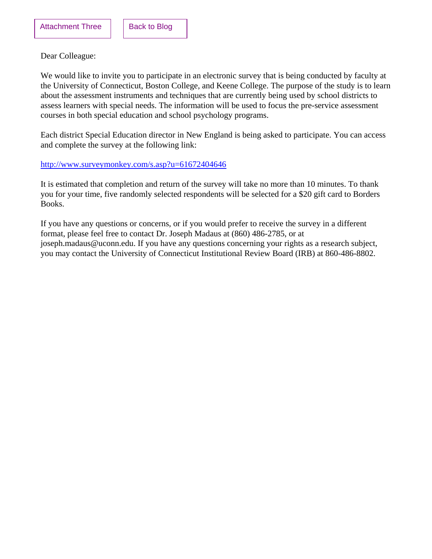<span id="page-19-0"></span>Dear Colleague:

We would like to invite you to participate in an electronic survey that is being conducted by faculty at the University of Connecticut, Boston College, and Keene College. The purpose of the study is to learn about the assessment instruments and techniques that are currently being used by school districts to assess learners with special needs. The information will be used to focus the pre-service assessment courses in both special education and school psychology programs.

Each district Special Education director in New England is being asked to participate. You can access and complete the survey at the following link:

## <http://www.surveymonkey.com/s.asp?u=61672404646>

It is estimated that completion and return of the survey will take no more than 10 minutes. To thank you for your time, five randomly selected respondents will be selected for a \$20 gift card to Borders Books.

If you have any questions or concerns, or if you would prefer to receive the survey in a different format, please feel free to contact Dr. Joseph Madaus at (860) 486-2785, or at joseph.[madaus@uconn.edu.](mailto:madaus@uconn.edu) If you have any questions concerning your rights as a research subject, you may contact the University of Connecticut Institutional Review Board (IRB) at 860-486-8802.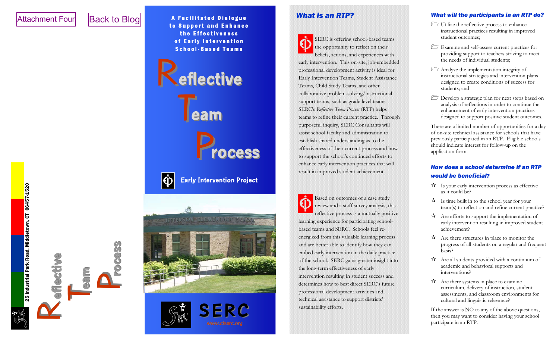# <span id="page-20-0"></span>Attachment Four

# [Back to Blog](#page-1-0)

T**eam**

P**rocess**

R**eflective eflective**

25 Industrial Park Road, Middletown, CT 06457-1520

25 Industrial Park Road, Middletown, CT 06457-1520

A Facilitated Dialogue to Support and Enhance the Effectiveness of Early Intervention School-Based Teams



# **Early Intervention Project**





# *What is an RTP?*



SERC is offering school-based teams the opportunity to reflect on their beliefs, actions, and experiences with early intervention. This on-site, job-embedded professional development activity is ideal for Early Intervention Teams, Student Assistance Teams, Child Study Teams, and other collaborative problem-solving/instructional support teams, such as grade level teams. SERC's *Reflective Team Process* (RTP) helps teams to refine their current practice. Through purposeful inquiry, SERC Consultants will assist school faculty and administration to establish shared understanding as to the effectiveness of their current process and how to support the school's continued efforts to enhance early intervention practices that will result in improved student achievement.

Based on outcomes of a case study review and a staff survey analysis, this reflective process is a mutually positive learning experience for participating schoolbased teams and SERC. Schools feel reenergized from this valuable learning process and are better able to identify how they can embed early intervention in the daily practice of the school. SERC gains greater insight into the long-term effectiveness of early intervention resulting in student success and determines how to best direct SERC's future professional development activities and technical assistance to support districts' sustainability efforts.

#### *What will the participants in an RTP do?*

- Utilize the reflective process to enhance instructional practices resulting in improved student outcomes;
- Examine and self-assess current practices for providing support to teachers striving to meet the needs of individual students;
- Analyze the implementation integrity of instructional strategies and intervention plans designed to create conditions of success for students; and
- Develop a strategic plan for next steps based on analysis of reflections in order to continue the enhancement of early intervention practices designed to support positive student outcomes.

There are a limited number of opportunities for a day of on-site technical assistance for schools that have previously participated in an RTP. Eligible schools should indicate interest for follow-up on the application form.

# *How does a school determine if an RTP would be beneficial?*

- $\vec{X}$  Is your early intervention process as effective as it could be?
- $\vec{x}$  Is time built in to the school year for your team(s) to reflect on and refine current practice?
- $\mathcal{A}$  Are efforts to support the implementation of early intervention resulting in improved student achievement?
- $\mathcal{A}$  Are there structures in place to monitor the progress of all students on a regular and frequent basis?
- $\mathbf{\hat{x}}$  Are all students provided with a continuum of academic and behavioral supports and interventions?
- $\mathbf{\hat{x}}$  Are there systems in place to examine curriculum, delivery of instruction, student assessments, and classroom environments for cultural and linguistic relevance?

If the answer is NO to any of the above questions, then you may want to consider having your school participate in an RTP.